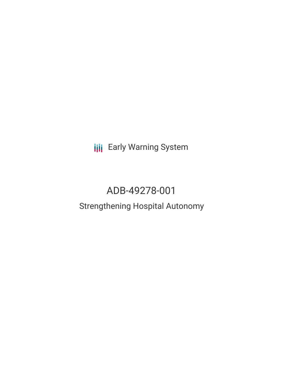**III** Early Warning System

# ADB-49278-001

# Strengthening Hospital Autonomy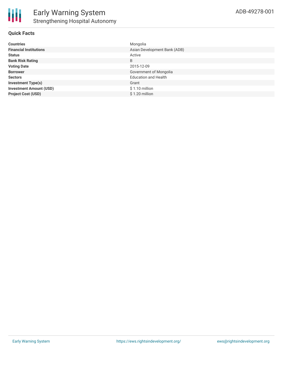

#### **Quick Facts**

| <b>Countries</b>               | Mongolia                     |
|--------------------------------|------------------------------|
| <b>Financial Institutions</b>  | Asian Development Bank (ADB) |
| <b>Status</b>                  | Active                       |
| <b>Bank Risk Rating</b>        | B                            |
| <b>Voting Date</b>             | 2015-12-09                   |
| <b>Borrower</b>                | Government of Mongolia       |
| <b>Sectors</b>                 | <b>Education and Health</b>  |
| <b>Investment Type(s)</b>      | Grant                        |
| <b>Investment Amount (USD)</b> | $$1.10$ million              |
| <b>Project Cost (USD)</b>      | \$1.20 million               |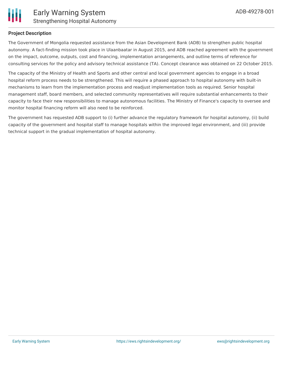

#### **Project Description**

The Government of Mongolia requested assistance from the Asian Development Bank (ADB) to strengthen public hospital autonomy. A fact-finding mission took place in Ulaanbaatar in August 2015, and ADB reached agreement with the government on the impact, outcome, outputs, cost and financing, implementation arrangements, and outline terms of reference for consulting services for the policy and advisory technical assistance (TA). Concept clearance was obtained on 22 October 2015.

The capacity of the Ministry of Health and Sports and other central and local government agencies to engage in a broad hospital reform process needs to be strengthened. This will require a phased approach to hospital autonomy with built-in mechanisms to learn from the implementation process and readjust implementation tools as required. Senior hospital management staff, board members, and selected community representatives will require substantial enhancements to their capacity to face their new responsibilities to manage autonomous facilities. The Ministry of Finance's capacity to oversee and monitor hospital financing reform will also need to be reinforced.

The government has requested ADB support to (i) further advance the regulatory framework for hospital autonomy, (ii) build capacity of the government and hospital staff to manage hospitals within the improved legal environment, and (iii) provide technical support in the gradual implementation of hospital autonomy.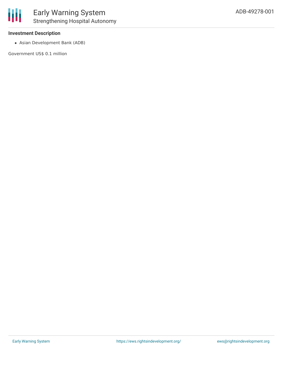#### **Investment Description**

Asian Development Bank (ADB)

Government US\$ 0.1 million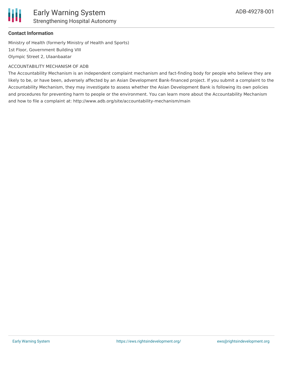

# **Contact Information**

Ministry of Health (formerly Ministry of Health and Sports) 1st Floor, Government Building VIII Olympic Street 2, Ulaanbaatar

### ACCOUNTABILITY MECHANISM OF ADB

The Accountability Mechanism is an independent complaint mechanism and fact-finding body for people who believe they are likely to be, or have been, adversely affected by an Asian Development Bank-financed project. If you submit a complaint to the Accountability Mechanism, they may investigate to assess whether the Asian Development Bank is following its own policies and procedures for preventing harm to people or the environment. You can learn more about the Accountability Mechanism and how to file a complaint at: http://www.adb.org/site/accountability-mechanism/main